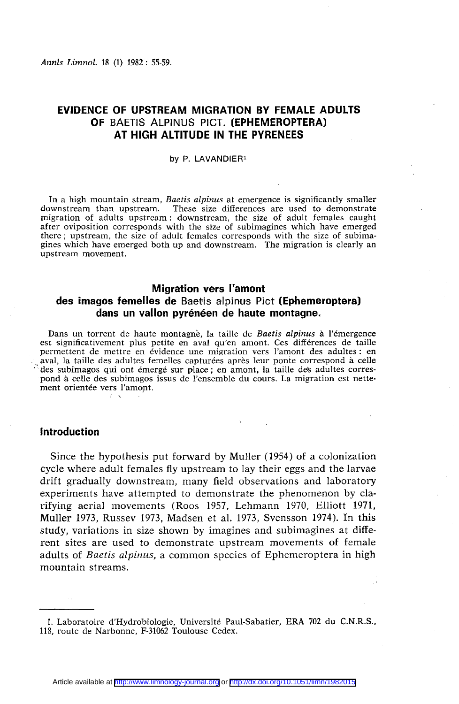# **EVIDENCE OF UPSTREAM MIGRATION BY FEMALE ADULTS OF** BAETIS ALPINUS PICT. **(EPHEMEROPTERA) AT HIGH ALTITUDE IN THE PYRENEES**

#### by P. LAVANDIER<sup>1</sup>

In a high mountain stream, *Baetis alpinus* at emergence is significantly smaller downstream than upstream. These size differences are used to demonstrate **downstrate m c** is the reamer are used to demonstrate **migration of adults upstream : downstream , the size of adult female s caught**  after oviposition corresponds with the size of subimagines which have emerged there; upstream, the size of adult females corresponds with the size of subima**gine s whic h have emerged both up and downstream . The migration is clearly an upstream movement.** 

### **Migration vers l'amont**

# **des imagos femelles de** Baetis alpinus Pict **(Ephemeroptera) dans un vallon pyrénéen de haute montagne.**

**Dans u n torrent de haut e montagne , la taille de** *Baetis alpinus* **à l'émergenc e est significativement plus petite en aval qu'en amont. Ces différences de taille permettent de mettre en évidence une migration vers l'amont des adultes : en aval, la taille de s adulte s femelle s capturée s après leur pont e correspond à celle d**es subimagos qui ont émergé sur place ; en amont, la taille des adultes correspond à celle des subimagos issus de l'ensemble du cours. La migration est nette**ment orienté e vers l'amont.** 

### **Introduction**

Since the hypothesis put forward by Muller (1954) of a colonization cycle where adult females fly upstream to lay their eggs and the larvae drift gradually downstream, many field observations and laboratory experiments have attempted to demonstrate the phenomenon by clarifying aerial movements (Roos 1957, Lehmann 1970, Elliott 1971, Muller 1973, Russev 1973, Madsen et al. 1973, Svensson 1974). In this study, variations in size shown by imagines and subimagines at différent sites are used to demonstrate upstream movements of female adults of *Baetis alpinus*, a common species of Ephemeroptera in high mountain streams.

<sup>1.</sup> Laboratoire d'Hydrobiologie, Université Paul-Sabatier, ERA 702 du C.N.R.S., **118, rout e de Narbonne , F-31062 Toulous e Cedex.**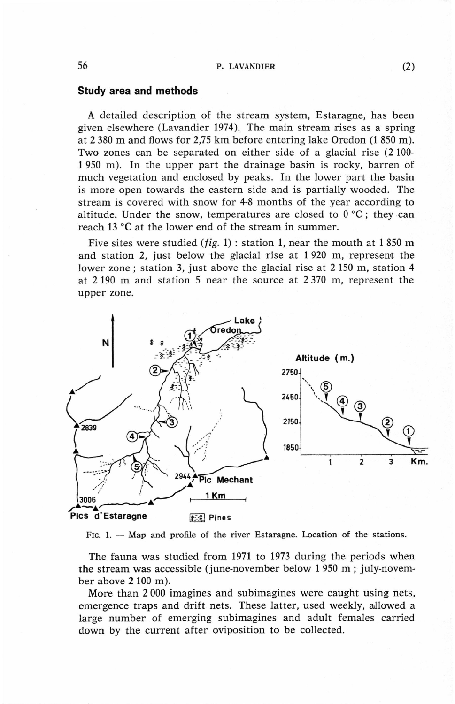### **Study area and methods**

A detailed description of the stream System, Estaragne, has been given efsewhere (Lavandier 1974). The main stream rises as a spring at 2 380 m and flows for 2,75 km before entering lake Oredon (1 850 m). Two zones can be separated on either side of a glacial rise (2 100- 1950 m). In the upper part the drainage basin is rocky, barren of much vegetation and enclosed by peaks. In the lower part the basin is more open towards the eastern side and is partially wooded. The stream is covered with snow for 4-8 months of the year according to altitude. Under the snow, temperatures are closed to  $0^{\circ}C$ ; they can reach 13 °C at the lower end of the stream in summer.

Five sites were studied  $(fig. 1)$ : station 1, near the mouth at 1850 m and station 2, just below the glacial rise at 1 920 m, represent the lower zone ; station 3, just above the glacial rise at 2 150 m, station 4 at 2 190 m and station 5 near the source at 2 370 m, represent the upper zone.



**FIG. 1. — Map and profile of the river Estaragne . Location of the stations.** 

The fauna was studied from 1971 to 1973 during the periods when the stream was accessible (june-november below 1 950 m ; july-november above  $2100$  m).

More than 2 000 imagines and subimagines were caught using nets, emergence traps and drift nets. These latter, used weekly, allowed a large number of emerging subimagines and adult females carried down by the current after oviposition to be collected.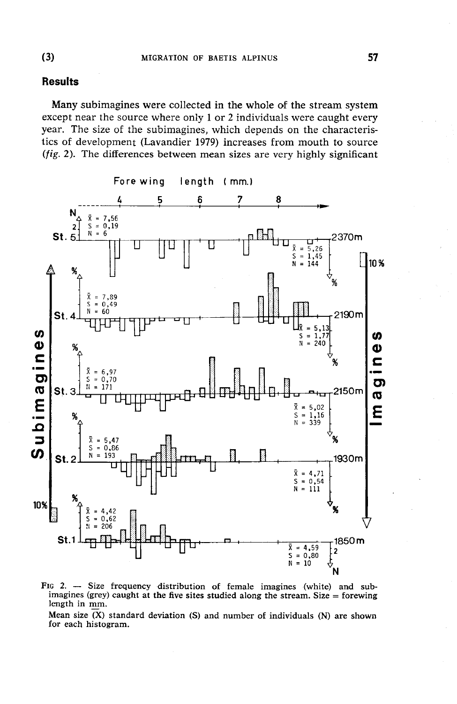# **Results**

Many subimagines were collected in the whole of the stream system except near the source where only 1 or 2 individuals were caught every year. The size of the subimagines, which depends on the characteristics of development (Lavandier 1979) increases from mouth to source (fig. 2). The differences between mean sizes are very highly significant



FIG 2. - Size frequency distribution of female imagines (white) and subimagines (grey) caught at the five sites studied along the stream. Size = forewing length in mm.

Mean size  $(X)$  standard deviation  $(S)$  and number of individuals  $(N)$  are shown for each histogram.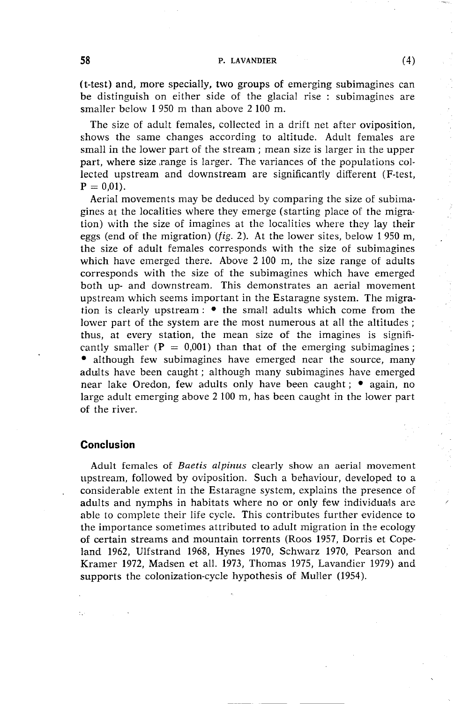### 58 **P. LAVANDIER** (4)

(t-test) and, more specially, two groups of emerging subimagines can be distinguish on either side of the glacial rise : subimagines are smaller below 1 950 m than above 2 100 m.

The size of adult females, collected in a drift net after oviposition, shows the same changes according to altitude. Adult females are small in the lower part of the stream; mean size is larger in the upper part, where size range is larger. The variances of the populations collected upstream and downstream are significantly different (F-test,  $P = 0.01$ .

Aerial movements may be deduced by comparing the size of subimagines at the localities where they emerge (starting place of the migration) with the size of imagines at the localities where they lay their eggs (end of the migration) *(fig.* 2). At the lower sites, below 1 950 m, the size of adult females corresponds with the size of subimagines which have emerged there. Above 2 100 m, the size range of adults corresponds with the size of the subimagines which have emerged both up- and downstream. This demonstrates an aerial movement upstream which seems important in the Estaragne system. The migration is clearly upstream :  $\bullet$  the small adults which come from the lower part of the system are the most numerous at all the altitudes; thus, at every station, the mean size of the imagines is significantly smaller  $(P = 0.001)$  than that of the emerging subimagines; • although few subimagines have emerged near the source, many adults have been caught ; although many subimagines have emerged near lake Oredon, few adults only have been caught; • again, no large adult emerging above 2 100 m, has been caught in the lower part of the river.

## **Conclusion**

Adult females of *Baetis alpinus* clearly show an aerial movement upstream, followed by oviposition. Such a behaviour, developed to a considerable extent in the Estaragne system, explains the presence of adults and nymphs in habitats where no or only few individuals are able to complete their life cycle. This contributes further evidence to the importance sometimes attributed to adult migration in the ecology of certain streams and mountain torrents (Roos 1957, Dorris et Copeland 1962, Ulfstrand 1968, Hynes 1970, Schwarz 1970, Pearson and Kramer 1972, Madsen et all. 1973, Thomas 1975, Lavandier 1979) and supports the colonization-cycle hypothesis of Muller (1954).